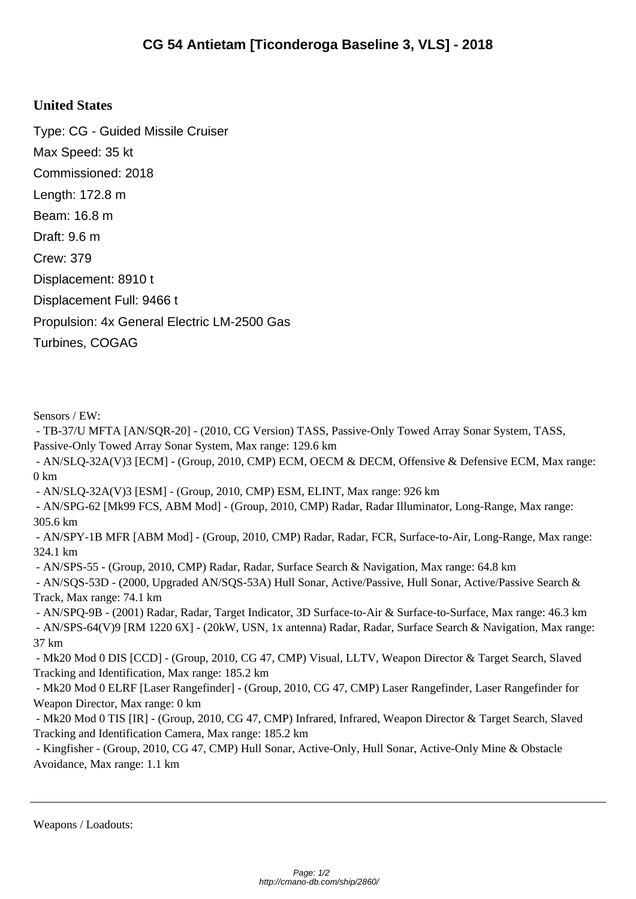## **United States**

Type: CG - Guided Missile Cruiser Max Speed: 35 kt Commissioned: 2018 Length: 172.8 m Beam: 16.8 m Draft: 9.6 m Crew: 379 Displacement: 8910 t Displacement Full: 9466 t Propulsion: 4x General Electric LM-2500 Gas Turbines, COGAG

Sensors / EW:

 - TB-37/U MFTA [AN/SQR-20] - (2010, CG Version) TASS, Passive-Only Towed Array Sonar System, TASS, Passive-Only Towed Array Sonar System, Max range: 129.6 km

 - AN/SLQ-32A(V)3 [ECM] - (Group, 2010, CMP) ECM, OECM & DECM, Offensive & Defensive ECM, Max range: 0 km

- AN/SLQ-32A(V)3 [ESM] - (Group, 2010, CMP) ESM, ELINT, Max range: 926 km

 - AN/SPG-62 [Mk99 FCS, ABM Mod] - (Group, 2010, CMP) Radar, Radar Illuminator, Long-Range, Max range: 305.6 km

 - AN/SPY-1B MFR [ABM Mod] - (Group, 2010, CMP) Radar, Radar, FCR, Surface-to-Air, Long-Range, Max range: 324.1 km

- AN/SPS-55 - (Group, 2010, CMP) Radar, Radar, Surface Search & Navigation, Max range: 64.8 km

 - AN/SQS-53D - (2000, Upgraded AN/SQS-53A) Hull Sonar, Active/Passive, Hull Sonar, Active/Passive Search & Track, Max range: 74.1 km

 - AN/SPQ-9B - (2001) Radar, Radar, Target Indicator, 3D Surface-to-Air & Surface-to-Surface, Max range: 46.3 km - AN/SPS-64(V)9 [RM 1220 6X] - (20kW, USN, 1x antenna) Radar, Radar, Surface Search & Navigation, Max range: 37 km

 - Mk20 Mod 0 DIS [CCD] - (Group, 2010, CG 47, CMP) Visual, LLTV, Weapon Director & Target Search, Slaved Tracking and Identification, Max range: 185.2 km

 - Mk20 Mod 0 ELRF [Laser Rangefinder] - (Group, 2010, CG 47, CMP) Laser Rangefinder, Laser Rangefinder for Weapon Director, Max range: 0 km

 - Mk20 Mod 0 TIS [IR] - (Group, 2010, CG 47, CMP) Infrared, Infrared, Weapon Director & Target Search, Slaved Tracking and Identification Camera, Max range: 185.2 km

 - Kingfisher - (Group, 2010, CG 47, CMP) Hull Sonar, Active-Only, Hull Sonar, Active-Only Mine & Obstacle Avoidance, Max range: 1.1 km

Weapons / Loadouts: